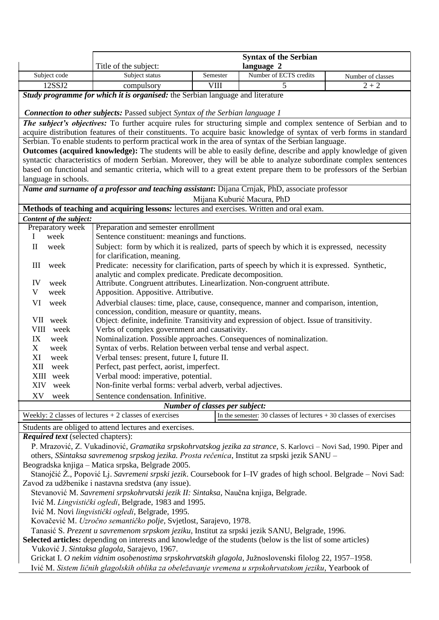|                                                                                                                                                                                                                                                                                                                               |                                                                                                                                             | <b>Syntax of the Serbian</b> |                        |                   |  |
|-------------------------------------------------------------------------------------------------------------------------------------------------------------------------------------------------------------------------------------------------------------------------------------------------------------------------------|---------------------------------------------------------------------------------------------------------------------------------------------|------------------------------|------------------------|-------------------|--|
|                                                                                                                                                                                                                                                                                                                               | Title of the subject:<br>language 2                                                                                                         |                              |                        |                   |  |
| Subject code                                                                                                                                                                                                                                                                                                                  | Subject status                                                                                                                              | Semester                     | Number of ECTS credits | Number of classes |  |
| 12SSJ2                                                                                                                                                                                                                                                                                                                        | compulsory                                                                                                                                  | <b>VIII</b>                  | $\overline{5}$         | $2 + 2$           |  |
| Study programme for which it is organised: the Serbian language and literature                                                                                                                                                                                                                                                |                                                                                                                                             |                              |                        |                   |  |
|                                                                                                                                                                                                                                                                                                                               |                                                                                                                                             |                              |                        |                   |  |
| <b>Connection to other subjects:</b> Passed subject Syntax of the Serbian language 1                                                                                                                                                                                                                                          |                                                                                                                                             |                              |                        |                   |  |
| The subject's objectives: To further acquire rules for structuring simple and complex sentence of Serbian and to                                                                                                                                                                                                              |                                                                                                                                             |                              |                        |                   |  |
| acquire distribution features of their constituents. To acquire basic knowledge of syntax of verb forms in standard                                                                                                                                                                                                           |                                                                                                                                             |                              |                        |                   |  |
| Serbian. To enable students to perform practical work in the area of syntax of the Serbian language.                                                                                                                                                                                                                          |                                                                                                                                             |                              |                        |                   |  |
| Outcomes (acquired knowledge): The students will be able to easily define, describe and apply knowledge of given<br>syntactic characteristics of modern Serbian. Moreover, they will be able to analyze subordinate complex sentences                                                                                         |                                                                                                                                             |                              |                        |                   |  |
| based on functional and semantic criteria, which will to a great extent prepare them to be professors of the Serbian                                                                                                                                                                                                          |                                                                                                                                             |                              |                        |                   |  |
| language in schools.                                                                                                                                                                                                                                                                                                          |                                                                                                                                             |                              |                        |                   |  |
| Name and surname of a professor and teaching assistant: Dijana Crnjak, PhD, associate professor                                                                                                                                                                                                                               |                                                                                                                                             |                              |                        |                   |  |
| Mijana Kuburić Macura, PhD                                                                                                                                                                                                                                                                                                    |                                                                                                                                             |                              |                        |                   |  |
| Methods of teaching and acquiring lessons: lectures and exercises. Written and oral exam.                                                                                                                                                                                                                                     |                                                                                                                                             |                              |                        |                   |  |
| Content of the subject:                                                                                                                                                                                                                                                                                                       |                                                                                                                                             |                              |                        |                   |  |
| Preparatory week<br>Preparation and semester enrollment                                                                                                                                                                                                                                                                       |                                                                                                                                             |                              |                        |                   |  |
| week<br>L                                                                                                                                                                                                                                                                                                                     | Sentence constituent: meanings and functions.                                                                                               |                              |                        |                   |  |
| $\mathbf{I}$<br>week                                                                                                                                                                                                                                                                                                          | Subject: form by which it is realized, parts of speech by which it is expressed, necessity                                                  |                              |                        |                   |  |
|                                                                                                                                                                                                                                                                                                                               | for clarification, meaning.                                                                                                                 |                              |                        |                   |  |
| Ш<br>week                                                                                                                                                                                                                                                                                                                     | Predicate: necessity for clarification, parts of speech by which it is expressed. Synthetic,                                                |                              |                        |                   |  |
|                                                                                                                                                                                                                                                                                                                               | analytic and complex predicate. Predicate decomposition.                                                                                    |                              |                        |                   |  |
| IV<br>week                                                                                                                                                                                                                                                                                                                    | Attribute. Congruent attributes. Linearlization. Non-congruent attribute.                                                                   |                              |                        |                   |  |
| V<br>week                                                                                                                                                                                                                                                                                                                     | Apposition. Appositive. Attributive.                                                                                                        |                              |                        |                   |  |
| VI<br>week                                                                                                                                                                                                                                                                                                                    | Adverbial clauses: time, place, cause, consequence, manner and comparison, intention,<br>concession, condition, measure or quantity, means. |                              |                        |                   |  |
| VII week                                                                                                                                                                                                                                                                                                                      | Object: definite, indefinite. Transitivity and expression of object. Issue of transitivity.                                                 |                              |                        |                   |  |
| VIII week                                                                                                                                                                                                                                                                                                                     | Verbs of complex government and causativity.                                                                                                |                              |                        |                   |  |
| IX<br>week                                                                                                                                                                                                                                                                                                                    | Nominalization. Possible approaches. Consequences of nominalization.                                                                        |                              |                        |                   |  |
| X<br>week                                                                                                                                                                                                                                                                                                                     | Syntax of verbs. Relation between verbal tense and verbal aspect.                                                                           |                              |                        |                   |  |
| XI<br>week                                                                                                                                                                                                                                                                                                                    | Verbal tenses: present, future I, future II.                                                                                                |                              |                        |                   |  |
| XII<br>week                                                                                                                                                                                                                                                                                                                   | Perfect, past perfect, aorist, imperfect.                                                                                                   |                              |                        |                   |  |
| XIII week                                                                                                                                                                                                                                                                                                                     | Verbal mood: imperative, potential.                                                                                                         |                              |                        |                   |  |
| XIV<br>week                                                                                                                                                                                                                                                                                                                   | Non-finite verbal forms: verbal adverb, verbal adjectives.                                                                                  |                              |                        |                   |  |
| Sentence condensation. Infinitive.<br>XV<br>week                                                                                                                                                                                                                                                                              |                                                                                                                                             |                              |                        |                   |  |
| <b>Number of classes per subject:</b>                                                                                                                                                                                                                                                                                         |                                                                                                                                             |                              |                        |                   |  |
| Weekly: 2 classes of lectures $+2$ classes of exercises<br>In the semester: 30 classes of lectures $+30$ classes of exercises                                                                                                                                                                                                 |                                                                                                                                             |                              |                        |                   |  |
| Students are obliged to attend lectures and exercises.                                                                                                                                                                                                                                                                        |                                                                                                                                             |                              |                        |                   |  |
| <b>Required text</b> (selected chapters):                                                                                                                                                                                                                                                                                     |                                                                                                                                             |                              |                        |                   |  |
| P. Mrazović, Z. Vukadinović, Gramatika srpskohrvatskog jezika za strance, S. Karlovci - Novi Sad, 1990. Piper and                                                                                                                                                                                                             |                                                                                                                                             |                              |                        |                   |  |
| others, SSintaksa savremenog srpskog jezika. Prosta rečenica, Institut za srpski jezik SANU -<br>Beogradska knjiga – Matica srpska, Belgrade 2005.                                                                                                                                                                            |                                                                                                                                             |                              |                        |                   |  |
| Stanojčić Ž., Popović Lj. Savremeni srpski jezik. Coursebook for I-IV grades of high school. Belgrade - Novi Sad:                                                                                                                                                                                                             |                                                                                                                                             |                              |                        |                   |  |
| Zavod za udžbenike i nastavna sredstva (any issue).                                                                                                                                                                                                                                                                           |                                                                                                                                             |                              |                        |                   |  |
| Stevanović M. Savremeni srpskohrvatski jezik II: Sintaksa, Naučna knjiga, Belgrade.                                                                                                                                                                                                                                           |                                                                                                                                             |                              |                        |                   |  |
| Ivić M. Lingvistički ogledi, Belgrade, 1983 and 1995.                                                                                                                                                                                                                                                                         |                                                                                                                                             |                              |                        |                   |  |
| Ivić M. Novi lingvistički ogledi, Belgrade, 1995.                                                                                                                                                                                                                                                                             |                                                                                                                                             |                              |                        |                   |  |
| Kovačević M. Uzročno semantičko polje, Svjetlost, Sarajevo, 1978.                                                                                                                                                                                                                                                             |                                                                                                                                             |                              |                        |                   |  |
| $\overline{C}$ December 2004 and $\overline{C}$ and $\overline{C}$ and $\overline{C}$ and $\overline{C}$ and $\overline{C}$ and $\overline{C}$ and $\overline{C}$ and $\overline{C}$ and $\overline{C}$ and $\overline{C}$ and $\overline{C}$ and $\overline{C}$ and $\overline{C}$ and $\overline{C}$ and $\overline{C}$ and |                                                                                                                                             |                              |                        |                   |  |

Tanasić S. *Prezent u savremenom srpskom jeziku*, Institut za srpski jezik SANU, Belgrade, 1996.

**Selected articles:** depending on interests and knowledge of the students (below is the list of some articles) Vuković J. *Sintaksa glagola*, Sarajevo, 1967.

Grickat I. *O nekim vidnim osobenostima srpskohrvatskih glagola*, Južnoslovenski filolog 22, 1957–1958. Ivić M. *Sistem ličnih glagolskih oblika za obeležavanje vremena u srpskohrvatskom jeziku*, Yearbook of